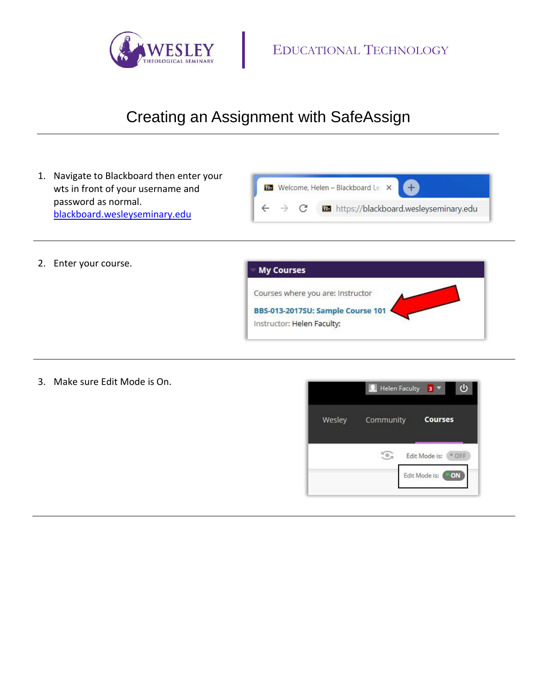

## Creating an Assignment with SafeAssign

1. Navigate to Blackboard then enter your wts in front of your username and password as normal. [blackboard.wesleyseminary.edu](https://blackboard.wesleyseminary.edu/)



2. Enter your course.



3. Make sure Edit Mode is On.

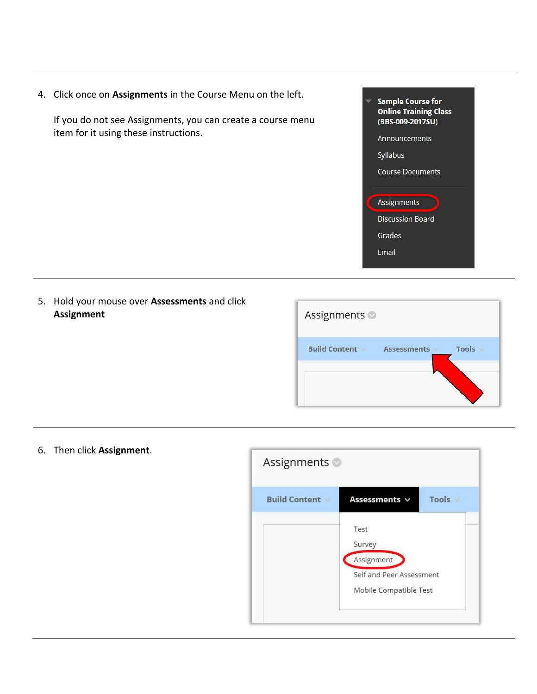

5. Hold your mouse over **Assessments** and click **Assignment**



6. Then click **Assignment**.

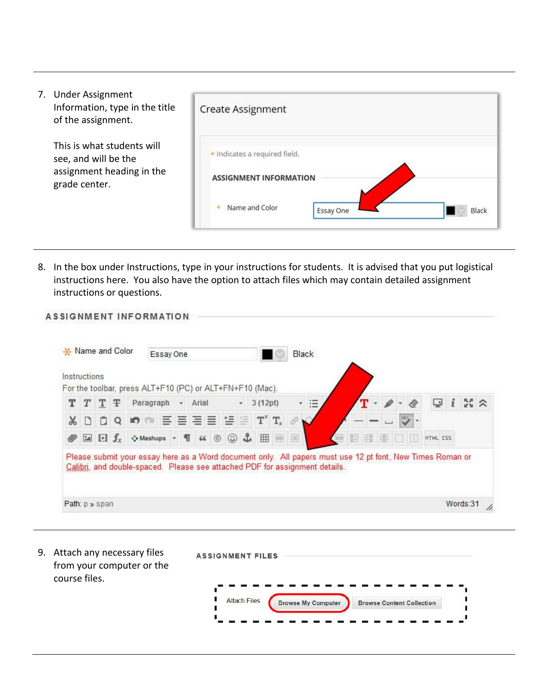| <b>Under Assignment</b><br>7.<br>Information, type in the title<br>of the assignment.            | Create Assignment                                                                                                        |
|--------------------------------------------------------------------------------------------------|--------------------------------------------------------------------------------------------------------------------------|
| This is what students will<br>see, and will be the<br>assignment heading in the<br>grade center. | * Indicates a required field.<br><b>ASSIGNMENT INFORMATION</b><br>Name and Color<br>$\frac{1}{2L}$<br>Essay One<br>Black |

8. In the box under Instructions, type in your instructions for students. It is advised that you put logistical instructions here. You also have the option to attach files which may contain detailed assignment instructions or questions.

**ASSIGNMENT INFORMATION** 

|              |  |                                    | Essay One |                        |               |               |                |             |   | Black                                                                                                          |  |  |    |   |        |   |             |  |
|--------------|--|------------------------------------|-----------|------------------------|---------------|---------------|----------------|-------------|---|----------------------------------------------------------------------------------------------------------------|--|--|----|---|--------|---|-------------|--|
| Instructions |  |                                    |           |                        |               |               |                |             |   |                                                                                                                |  |  |    |   |        |   |             |  |
|              |  |                                    |           |                        |               |               |                |             |   |                                                                                                                |  |  |    |   |        |   | $55 \times$ |  |
|              |  |                                    |           |                        |               |               |                |             |   |                                                                                                                |  |  |    |   |        |   |             |  |
| 240          |  |                                    |           | T                      |               | $^\copyright$ | $\circledcirc$ |             |   | 围                                                                                                              |  |  |    |   |        |   |             |  |
|              |  | $T$ T $\overline{T}$<br>$\Box f_x$ |           | Paragraph<br>Mashups + | $\rightarrow$ |               | Arial<br>66    | ☞ @ 블룸블볼 열음 | 品 | For the toolbar, press ALT+F10 (PC) or ALT+FN+F10 (Mac).<br>3(12pt)<br>$T^{\mathbf{x}}$ $T_{\mathbf{x}}$<br>田田 |  |  | 田田 | 围 | NE NEW | Ç | HTML CSS    |  |

9. Attach any necessary files **ASSIGNMENT FILES** from your computer or the course files.**Attach Files** Browse My Computer **Browse Content Collection**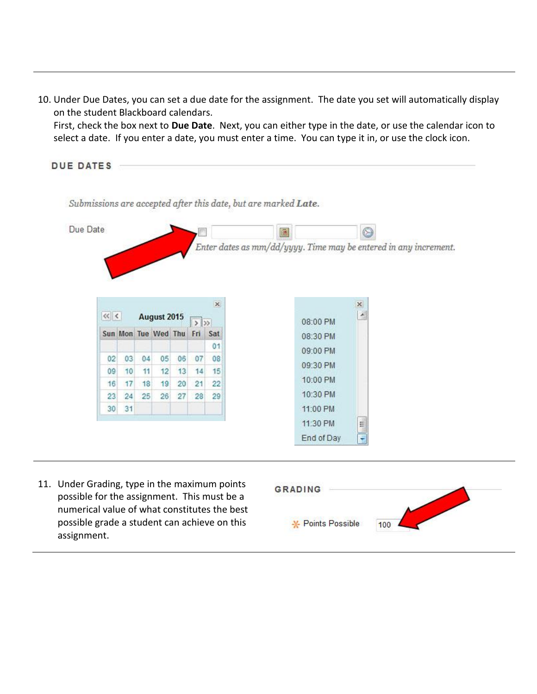10. Under Due Dates, you can set a due date for the assignment. The date you set will automatically display on the student Blackboard calendars.

First, check the box next to **Due Date**. Next, you can either type in the date, or use the calendar icon to select a date. If you enter a date, you must enter a time. You can type it in, or use the clock icon.



Submissions are accepted after this date, but are marked Late.



11. Under Grading, type in the maximum points possible for the assignment. This must be a numerical value of what constitutes the best possible grade a student can achieve on this assignment.

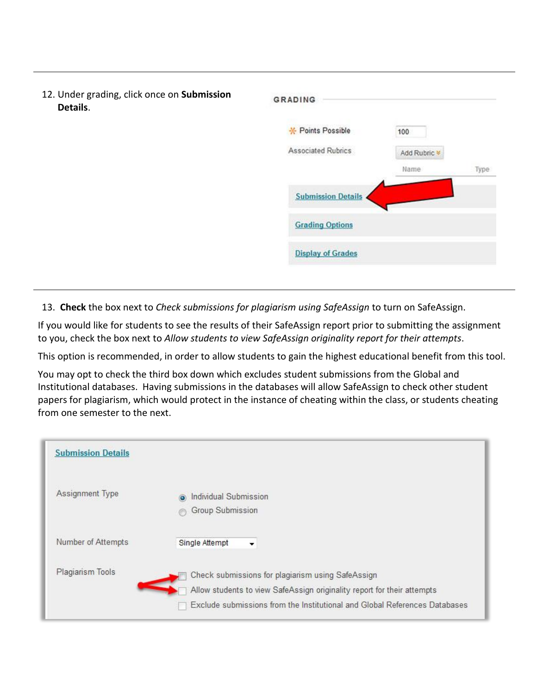

13. **Check** the box next to *Check submissions for plagiarism using SafeAssign* to turn on SafeAssign.

If you would like for students to see the results of their SafeAssign report prior to submitting the assignment to you, check the box next to *Allow students to view SafeAssign originality report for their attempts*.

This option is recommended, in order to allow students to gain the highest educational benefit from this tool.

You may opt to check the third box down which excludes student submissions from the Global and Institutional databases. Having submissions in the databases will allow SafeAssign to check other student papers for plagiarism, which would protect in the instance of cheating within the class, or students cheating from one semester to the next.